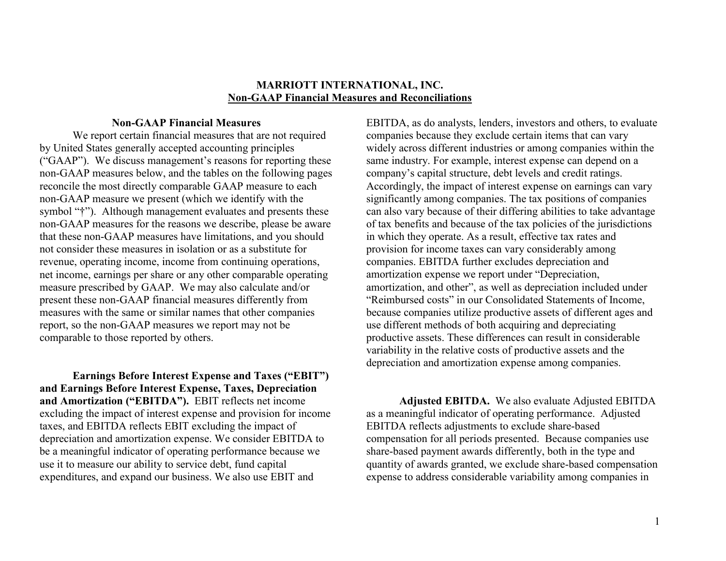#### **MARRIOTT INTERNATIONAL, INC. Non-GAAP Financial Measures and Reconciliations**

#### **Non-GAAP Financial Measures**

We report certain financial measures that are not required by United States generally accepted accounting principles ("GAAP"). We discuss management's reasons for reporting these non-GAAP measures below, and the tables on the following pages reconcile the most directly comparable GAAP measure to each non-GAAP measure we present (which we identify with the symbol "†"). Although management evaluates and presents these non-GAAP measures for the reasons we describe, please be aware that these non-GAAP measures have limitations, and you should not consider these measures in isolation or as a substitute for revenue, operating income, income from continuing operations, net income, earnings per share or any other comparable operating measure prescribed by GAAP. We may also calculate and/or present these non-GAAP financial measures differently from measures with the same or similar names that other companies report, so the non-GAAP measures we report may not be comparable to those reported by others.

**Earnings Before Interest Expense and Taxes ("EBIT") and Earnings Before Interest Expense, Taxes, Depreciation and Amortization ("EBITDA").** EBIT reflects net income excluding the impact of interest expense and provision for income taxes, and EBITDA reflects EBIT excluding the impact of depreciation and amortization expense. We consider EBITDA to be a meaningful indicator of operating performance because we use it to measure our ability to service debt, fund capital expenditures, and expand our business. We also use EBIT and

EBITDA, as do analysts, lenders, investors and others, to evaluate companies because they exclude certain items that can vary widely across different industries or among companies within the same industry. For example, interest expense can depend on a company's capital structure, debt levels and credit ratings. Accordingly, the impact of interest expense on earnings can vary significantly among companies. The tax positions of companies can also vary because of their differing abilities to take advantage of tax benefits and because of the tax policies of the jurisdictions in which they operate. As a result, effective tax rates and provision for income taxes can vary considerably among companies. EBITDA further excludes depreciation and amortization expense we report under "Depreciation, amortization, and other", as well as depreciation included under "Reimbursed costs" in our Consolidated Statements of Income, because companies utilize productive assets of different ages and use different methods of both acquiring and depreciating productive assets. These differences can result in considerable variability in the relative costs of productive assets and the depreciation and amortization expense among companies.

**Adjusted EBITDA.** We also evaluate Adjusted EBITDA as a meaningful indicator of operating performance. Adjusted EBITDA reflects adjustments to exclude share-based compensation for all periods presented. Because companies use share-based payment awards differently, both in the type and quantity of awards granted, we exclude share-based compensation expense to address considerable variability among companies in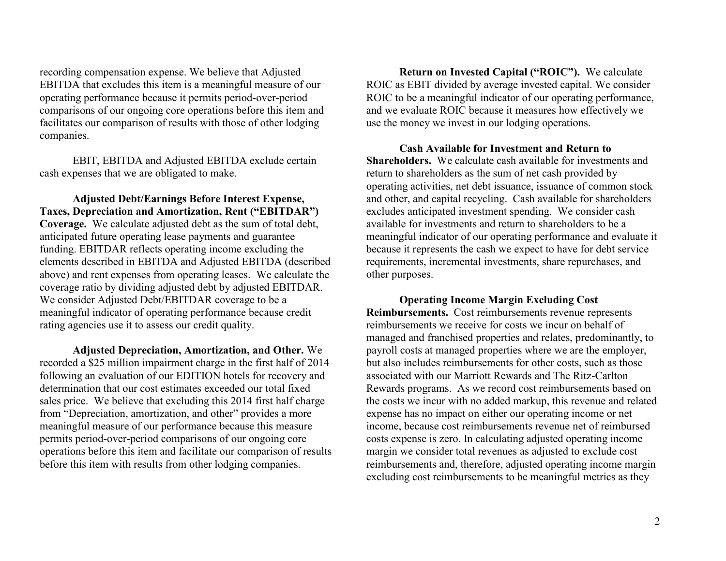recording compensation expense. We believe that Adjusted EBITDA that excludes this item is a meaningful measure of our operating performance because it permits period-over-period comparisons of our ongoing core operations before this item and facilitates our comparison of results with those of other lodging companies.

EBIT, EBITDA and Adjusted EBITDA exclude certain cash expenses that we are obligated to make.

**Adjusted Debt/Earnings Before Interest Expense, Taxes, Depreciation and Amortization, Rent ("EBITDAR") Coverage.** We calculate adjusted debt as the sum of total debt, anticipated future operating lease payments and guarantee funding. EBITDAR reflects operating income excluding the elements described in EBITDA and Adjusted EBITDA (described above) and rent expenses from operating leases. We calculate the coverage ratio by dividing adjusted debt by adjusted EBITDAR. We consider Adjusted Debt/EBITDAR coverage to be a meaningful indicator of operating performance because credit rating agencies use it to assess our credit quality.

**Adjusted Depreciation, Amortization, and Other.** We recorded a \$25 million impairment charge in the first half of 2014 following an evaluation of our EDITION hotels for recovery and determination that our cost estimates exceeded our total fixed sales price. We believe that excluding this 2014 first half charge from "Depreciation, amortization, and other" provides a more meaningful measure of our performance because this measure permits period-over-period comparisons of our ongoing core operations before this item and facilitate our comparison of results before this item with results from other lodging companies.

**Return on Invested Capital ("ROIC").** We calculate ROIC as EBIT divided by average invested capital. We consider ROIC to be a meaningful indicator of our operating performance, and we evaluate ROIC because it measures how effectively we use the money we invest in our lodging operations.

**Cash Available for Investment and Return to Shareholders.** We calculate cash available for investments and return to shareholders as the sum of net cash provided by operating activities, net debt issuance, issuance of common stock and other, and capital recycling. Cash available for shareholders excludes anticipated investment spending. We consider cash available for investments and return to shareholders to be a meaningful indicator of our operating performance and evaluate it because it represents the cash we expect to have for debt service requirements, incremental investments, share repurchases, and other purposes.

**Operating Income Margin Excluding Cost Reimbursements.** Cost reimbursements revenue represents reimbursements we receive for costs we incur on behalf of managed and franchised properties and relates, predominantly, to payroll costs at managed properties where we are the employer, but also includes reimbursements for other costs, such as those associated with our Marriott Rewards and The Ritz-Carlton Rewards programs. As we record cost reimbursements based on the costs we incur with no added markup, this revenue and related expense has no impact on either our operating income or net income, because cost reimbursements revenue net of reimbursed costs expense is zero. In calculating adjusted operating income margin we consider total revenues as adjusted to exclude cost reimbursements and, therefore, adjusted operating income margin excluding cost reimbursements to be meaningful metrics as they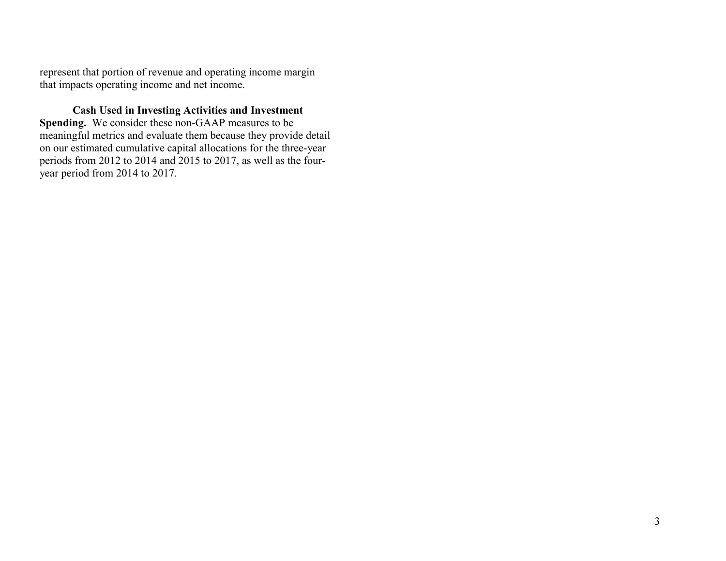represent that portion of revenue and operating income margin that impacts operating income and net income.

**Cash Used in Investing Activities and Investment Spending.** We consider these non-GAAP measures to be meaningful metrics and evaluate them because they provide detail on our estimated cumulative capital allocations for the three-year periods from 2012 to 2014 and 2015 to 2017, as well as the fouryear period from 2014 to 2017.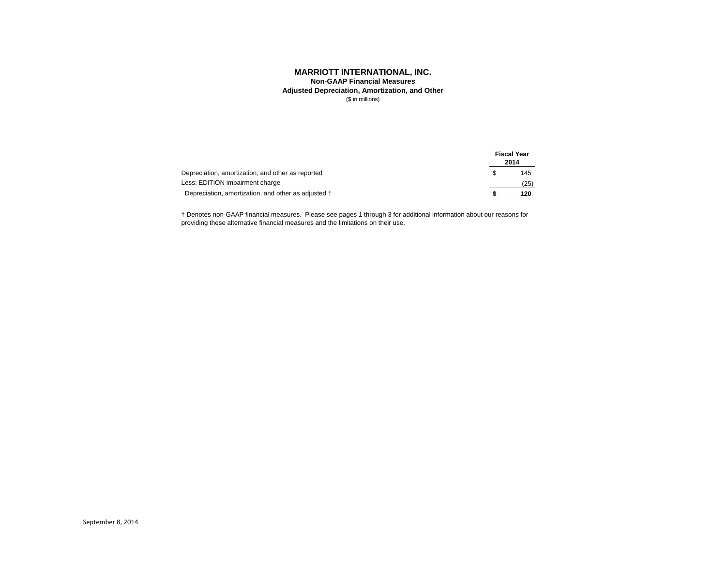**Adjusted Depreciation, Amortization, and Other Non-GAAP Financial Measures**

(\$ in millions)

|                                                     |     | <b>Fiscal Year</b><br>2014 |
|-----------------------------------------------------|-----|----------------------------|
| Depreciation, amortization, and other as reported   | \$. | 145                        |
| Less: EDITION impairment charge                     |     | (25)                       |
| Depreciation, amortization, and other as adjusted † |     | 120                        |

† Denotes non-GAAP financial measures. Please see pages 1 through 3 for additional information about our reasons for providing these alternative financial measures and the limitations on their use.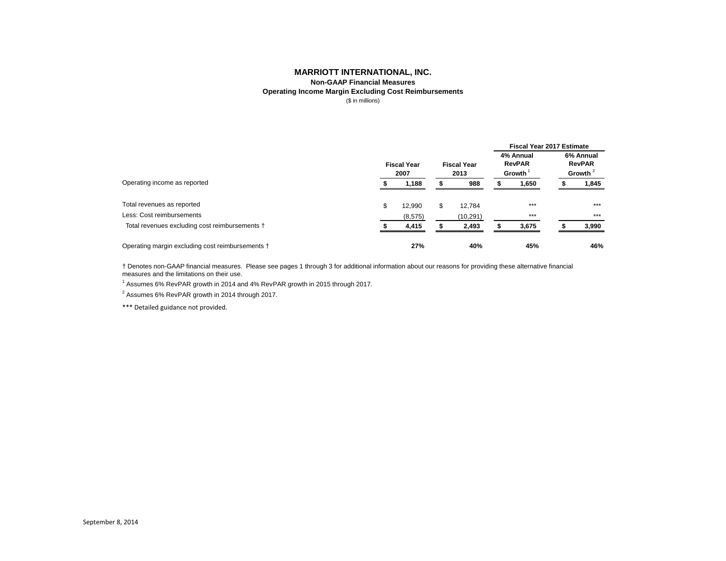**Non-GAAP Financial Measures**

## **Operating Income Margin Excluding Cost Reimbursements**

(\$ in millions)

|                                                  |                            |          |    |                            | <b>Fiscal Year 2017 Estimate</b> |                                          |  |                                          |  |  |  |
|--------------------------------------------------|----------------------------|----------|----|----------------------------|----------------------------------|------------------------------------------|--|------------------------------------------|--|--|--|
|                                                  | <b>Fiscal Year</b><br>2007 |          |    | <b>Fiscal Year</b><br>2013 |                                  | 4% Annual<br><b>RevPAR</b><br>Growth $1$ |  | 6% Annual<br><b>RevPAR</b><br>Growth $2$ |  |  |  |
| Operating income as reported                     |                            | 1,188    |    | 988                        |                                  | 1,650                                    |  | 1,845                                    |  |  |  |
| Total revenues as reported                       | \$                         | 12,990   | \$ | 12,784                     |                                  | $***$                                    |  | $***$                                    |  |  |  |
| Less: Cost reimbursements                        |                            | (8, 575) |    | (10, 291)                  |                                  | $***$                                    |  | $***$                                    |  |  |  |
| Total revenues excluding cost reimbursements †   |                            | 4,415    |    | 2,493                      |                                  | 3,675                                    |  | 3,990                                    |  |  |  |
| Operating margin excluding cost reimbursements † |                            | 27%      |    | 40%                        |                                  | 45%                                      |  | 46%                                      |  |  |  |

† Denotes non-GAAP financial measures. Please see pages 1 through 3 for additional information about our reasons for providing these alternative financial measures and the limitations on their use.

 $^1$  Assumes 6% RevPAR growth in 2014 and 4% RevPAR growth in 2015 through 2017.

 $^2$  Assumes 6% RevPAR growth in 2014 through 2017.

\*\*\* Detailed guidance not provided.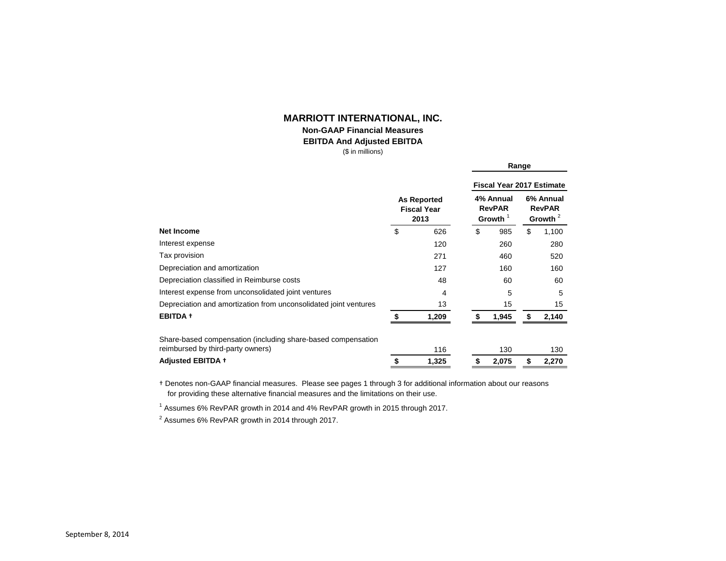## **Non-GAAP Financial Measures**

#### **EBITDA And Adjusted EBITDA**

**Range**

(\$ in millions)

|                                                                  |    |                                                  | <b>Fiscal Year 2017 Estimate</b> |                                          |                                          |       |  |  |  |
|------------------------------------------------------------------|----|--------------------------------------------------|----------------------------------|------------------------------------------|------------------------------------------|-------|--|--|--|
|                                                                  |    | <b>As Reported</b><br><b>Fiscal Year</b><br>2013 |                                  | 4% Annual<br><b>RevPAR</b><br>Growth $1$ | 6% Annual<br><b>RevPAR</b><br>Growth $2$ |       |  |  |  |
| <b>Net Income</b>                                                | \$ | 626                                              | \$                               | 985                                      | \$                                       | 1,100 |  |  |  |
| Interest expense                                                 |    | 120                                              |                                  | 260                                      |                                          | 280   |  |  |  |
| Tax provision                                                    |    | 271                                              |                                  | 460                                      |                                          | 520   |  |  |  |
| Depreciation and amortization                                    |    | 127                                              |                                  | 160                                      |                                          | 160   |  |  |  |
| Depreciation classified in Reimburse costs                       |    | 48                                               |                                  | 60                                       |                                          | 60    |  |  |  |
| Interest expense from unconsolidated joint ventures              |    | 4                                                |                                  | 5                                        |                                          | 5     |  |  |  |
| Depreciation and amortization from unconsolidated joint ventures |    | 13                                               |                                  | 15                                       |                                          | 15    |  |  |  |
| <b>EBITDA +</b>                                                  |    | 1,209                                            |                                  | 1,945                                    | \$                                       | 2,140 |  |  |  |
| Share-based compensation (including share-based compensation     |    |                                                  |                                  |                                          |                                          |       |  |  |  |
| reimbursed by third-party owners)                                |    | 116                                              |                                  | 130                                      |                                          | 130   |  |  |  |
| <b>Adjusted EBITDA +</b>                                         | S  | 1,325                                            | \$                               | 2,075                                    | \$                                       | 2,270 |  |  |  |

† Denotes non-GAAP financial measures. Please see pages 1 through 3 for additional information about our reasons for providing these alternative financial measures and the limitations on their use.

 $^{\text{1}}$  Assumes 6% RevPAR growth in 2014 and 4% RevPAR growth in 2015 through 2017.

 $^2$  Assumes 6% RevPAR growth in 2014 through 2017.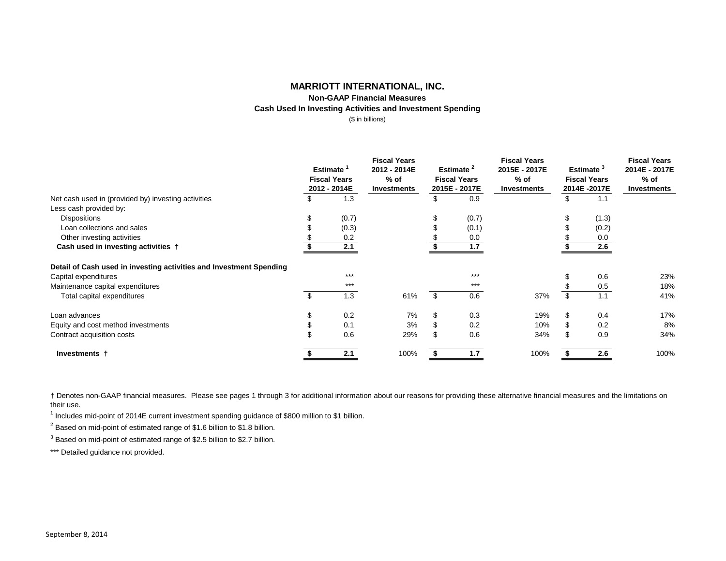## **Non-GAAP Financial Measures Cash Used In Investing Activities and Investment Spending**

(\$ in billions)

|                                                                     | <b>Estimate</b><br><b>Fiscal Years</b><br>2012 - 2014E |       | <b>Fiscal Years</b><br>2012 - 2014E<br>$%$ of<br><b>Investments</b> | Estimate <sup>2</sup><br><b>Fiscal Years</b><br>2015E - 2017E |       | <b>Fiscal Years</b><br>2015E - 2017E<br>$%$ of<br><b>Investments</b> | Estimate <sup>3</sup><br><b>Fiscal Years</b><br>2014E-2017E | <b>Fiscal Years</b><br>2014E - 2017E<br>$%$ of<br><b>Investments</b> |
|---------------------------------------------------------------------|--------------------------------------------------------|-------|---------------------------------------------------------------------|---------------------------------------------------------------|-------|----------------------------------------------------------------------|-------------------------------------------------------------|----------------------------------------------------------------------|
| Net cash used in (provided by) investing activities                 |                                                        | 1.3   |                                                                     | \$                                                            | 0.9   |                                                                      | 1.1                                                         |                                                                      |
| Less cash provided by:                                              |                                                        |       |                                                                     |                                                               |       |                                                                      |                                                             |                                                                      |
| Dispositions                                                        |                                                        | (0.7) |                                                                     | \$                                                            | (0.7) |                                                                      | (1.3)                                                       |                                                                      |
| Loan collections and sales                                          |                                                        | (0.3) |                                                                     |                                                               | (0.1) |                                                                      | (0.2)                                                       |                                                                      |
| Other investing activities                                          |                                                        | 0.2   |                                                                     |                                                               | 0.0   |                                                                      | 0.0                                                         |                                                                      |
| Cash used in investing activities †                                 |                                                        | 2.1   |                                                                     |                                                               | 1.7   |                                                                      | 2.6                                                         |                                                                      |
| Detail of Cash used in investing activities and Investment Spending |                                                        |       |                                                                     |                                                               |       |                                                                      |                                                             |                                                                      |
| Capital expenditures                                                |                                                        | $***$ |                                                                     |                                                               | $***$ |                                                                      | 0.6                                                         | 23%                                                                  |
| Maintenance capital expenditures                                    |                                                        | $***$ |                                                                     |                                                               | $***$ |                                                                      | 0.5                                                         | 18%                                                                  |
| Total capital expenditures                                          |                                                        | 1.3   | 61%                                                                 | \$                                                            | 0.6   | 37%                                                                  | \$<br>1.1                                                   | 41%                                                                  |
| Loan advances                                                       | \$                                                     | 0.2   | 7%                                                                  | \$                                                            | 0.3   | 19%                                                                  | 0.4                                                         | 17%                                                                  |
| Equity and cost method investments                                  |                                                        | 0.1   | 3%                                                                  |                                                               | 0.2   | 10%                                                                  | 0.2                                                         | 8%                                                                   |
| Contract acquisition costs                                          |                                                        | 0.6   | 29%                                                                 |                                                               | 0.6   | 34%                                                                  | 0.9                                                         | 34%                                                                  |
| Investments †                                                       |                                                        | 2.1   | 100%                                                                |                                                               | 1.7   | 100%                                                                 | 2.6                                                         | 100%                                                                 |

† Denotes non-GAAP financial measures. Please see pages 1 through 3 for additional information about our reasons for providing these alternative financial measures and the limitations on their use.

<sup>1</sup> Includes mid-point of 2014E current investment spending guidance of \$800 million to \$1 billion.

 $2$  Based on mid-point of estimated range of \$1.6 billion to \$1.8 billion.

 $^3$  Based on mid-point of estimated range of \$2.5 billion to \$2.7 billion.

\*\*\* Detailed guidance not provided.